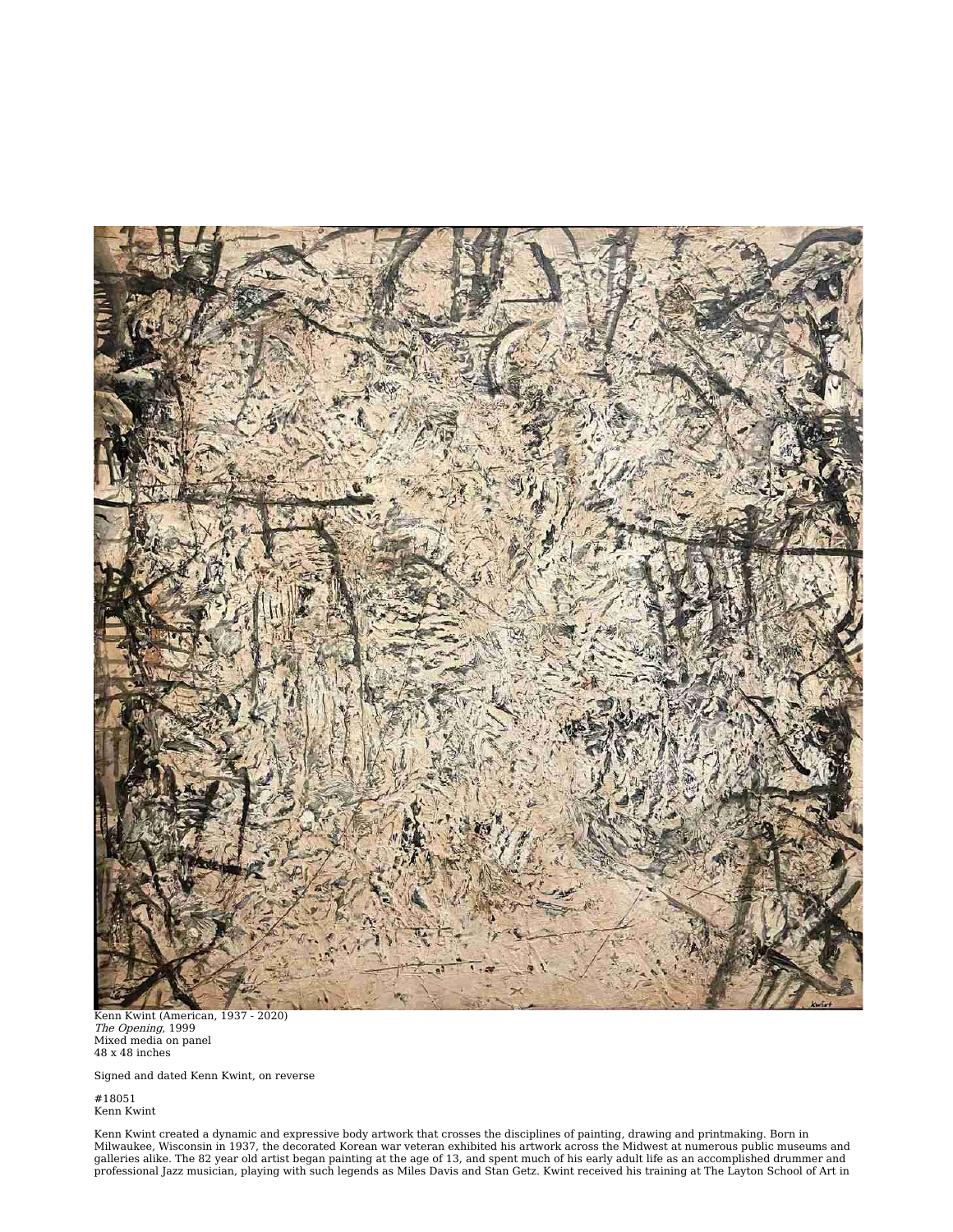

Kenn Kwint (American, 1937 - 2020)<br>*The Opening*, 1999<br>Mixed media on panel<br>48 x 48 inches

Signed and dated Kenn Kwint, on reverse

#18051 Kenn Kwint

Kenn Kwint created a dynamic and expressive body artwork that crosses the disciplines of painting, drawing and printmaking. Born in<br>Milwaukee, Wisconsin in 1937, the decorated Korean war veteran exhibited his artwork acros